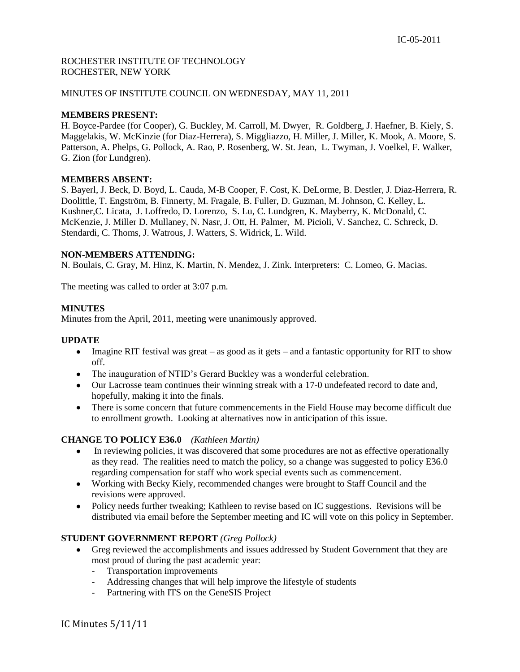# ROCHESTER INSTITUTE OF TECHNOLOGY ROCHESTER, NEW YORK

## MINUTES OF INSTITUTE COUNCIL ON WEDNESDAY, MAY 11, 2011

### **MEMBERS PRESENT:**

H. Boyce-Pardee (for Cooper), G. Buckley, M. Carroll, M. Dwyer, R. Goldberg, J. Haefner, B. Kiely, S. Maggelakis, W. McKinzie (for Diaz-Herrera), S. Miggliazzo, H. Miller, J. Miller, K. Mook, A. Moore, S. Patterson, A. Phelps, G. Pollock, A. Rao, P. Rosenberg, W. St. Jean, L. Twyman, J. Voelkel, F. Walker, G. Zion (for Lundgren).

### **MEMBERS ABSENT:**

S. Bayerl, J. Beck, D. Boyd, L. Cauda, M-B Cooper, F. Cost, K. DeLorme, B. Destler, J. Diaz-Herrera, R. Doolittle, T. Engström, B. Finnerty, M. Fragale, B. Fuller, D. Guzman, M. Johnson, C. Kelley, L. Kushner,C. Licata, J. Loffredo, D. Lorenzo, S. Lu, C. Lundgren, K. Mayberry, K. McDonald, C. McKenzie, J. Miller D. Mullaney, N. Nasr, J. Ott, H. Palmer, M. Picioli, V. Sanchez, C. Schreck, D. Stendardi, C. Thoms, J. Watrous, J. Watters, S. Widrick, L. Wild.

### **NON-MEMBERS ATTENDING:**

N. Boulais, C. Gray, M. Hinz, K. Martin, N. Mendez, J. Zink. Interpreters: C. Lomeo, G. Macias.

The meeting was called to order at 3:07 p.m.

### **MINUTES**

Minutes from the April, 2011, meeting were unanimously approved.

## **UPDATE**

- $\bullet$  Imagine RIT festival was great as good as it gets and a fantastic opportunity for RIT to show off.
- The inauguration of NTID's Gerard Buckley was a wonderful celebration.
- Our Lacrosse team continues their winning streak with a 17-0 undefeated record to date and, hopefully, making it into the finals.
- There is some concern that future commencements in the Field House may become difficult due to enrollment growth. Looking at alternatives now in anticipation of this issue.

# **CHANGE TO POLICY E36.0** *(Kathleen Martin)*

- In reviewing policies, it was discovered that some procedures are not as effective operationally  $\bullet$ as they read. The realities need to match the policy, so a change was suggested to policy E36.0 regarding compensation for staff who work special events such as commencement.
- Working with Becky Kiely, recommended changes were brought to Staff Council and the revisions were approved.
- Policy needs further tweaking; Kathleen to revise based on IC suggestions. Revisions will be distributed via email before the September meeting and IC will vote on this policy in September.

## **STUDENT GOVERNMENT REPORT** *(Greg Pollock)*

- Greg reviewed the accomplishments and issues addressed by Student Government that they are most proud of during the past academic year:
	- Transportation improvements
	- Addressing changes that will help improve the lifestyle of students
	- Partnering with ITS on the GeneSIS Project